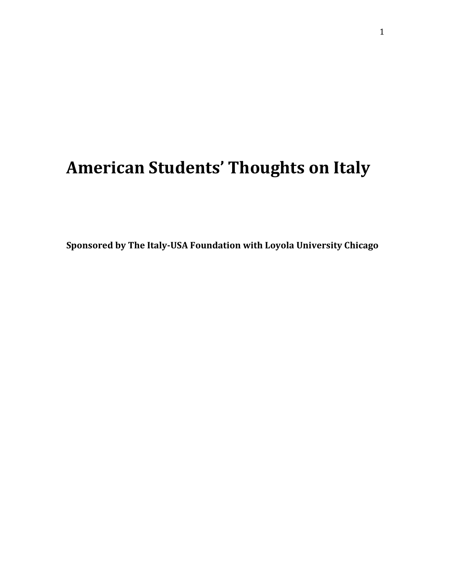# **American Students' Thoughts on Italy**

**Sponsored by The Italy-USA Foundation with Loyola University Chicago**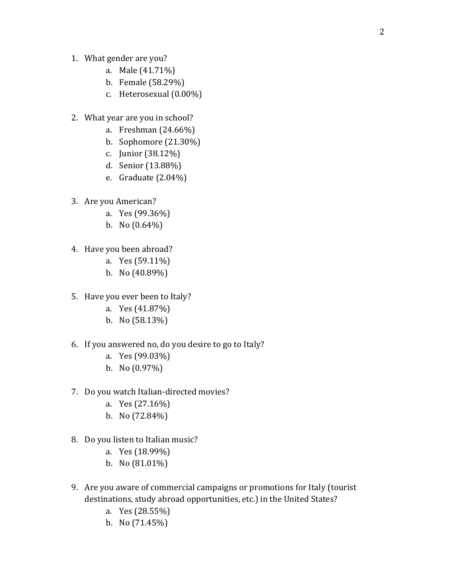- 1. What gender are you?
	- a. Male (41.71%)
	- b. Female (58.29%)
	- c. Heterosexual (0.00%)
- 2. What year are you in school?
	- a. Freshman (24.66%)
	- b. Sophomore (21.30%)
	- c. Junior (38.12%)
	- d. Senior (13.88%)
	- e. Graduate (2.04%)
- 3. Are you American?
	- a. Yes (99.36%)
	- b. No  $(0.64\%)$
- 4. Have you been abroad?
	- a. Yes (59.11%)
	- b. No (40.89%)
- 5. Have you ever been to Italy?
	- a. Yes (41.87%)
	- b. No (58.13%)
- 6. If you answered no, do you desire to go to Italy?
	- a. Yes (99.03%)
	- b. No (0.97%)
- 7. Do you watch Italian-directed movies?
	- a. Yes (27.16%)
	- b. No (72.84%)
- 8. Do you listen to Italian music?
	- a. Yes (18.99%)
	- b. No (81.01%)
- 9. Are you aware of commercial campaigns or promotions for Italy (tourist destinations, study abroad opportunities, etc.) in the United States?
	- a. Yes (28.55%)
	- b. No (71.45%)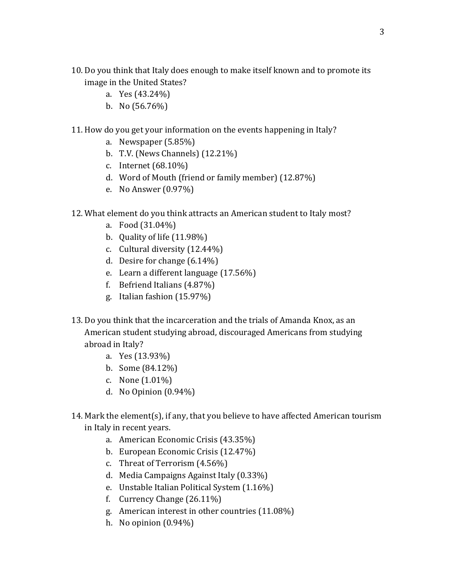- 10. Do you think that Italy does enough to make itself known and to promote its image in the United States?
	- a. Yes (43.24%)
	- b. No  $(56.76\%)$
- 11. How do you get your information on the events happening in Italy?
	- a. Newspaper (5.85%)
	- b. T.V. (News Channels) (12.21%)
	- c. Internet (68.10%)
	- d. Word of Mouth (friend or family member) (12.87%)
	- e. No Answer (0.97%)
- 12. What element do you think attracts an American student to Italy most?
	- a. Food (31.04%)
	- b. Quality of life (11.98%)
	- c. Cultural diversity (12.44%)
	- d. Desire for change (6.14%)
	- e. Learn a different language (17.56%)
	- f. Befriend Italians (4.87%)
	- g. Italian fashion (15.97%)
- 13. Do you think that the incarceration and the trials of Amanda Knox, as an American student studying abroad, discouraged Americans from studying abroad in Italy?
	- a. Yes (13.93%)
	- b. Some (84.12%)
	- c. None (1.01%)
	- d. No Opinion (0.94%)
- 14. Mark the element(s), if any, that you believe to have affected American tourism in Italy in recent years.
	- a. American Economic Crisis (43.35%)
	- b. European Economic Crisis (12.47%)
	- c. Threat of Terrorism (4.56%)
	- d. Media Campaigns Against Italy (0.33%)
	- e. Unstable Italian Political System (1.16%)
	- f. Currency Change (26.11%)
	- g. American interest in other countries (11.08%)
	- h. No opinion (0.94%)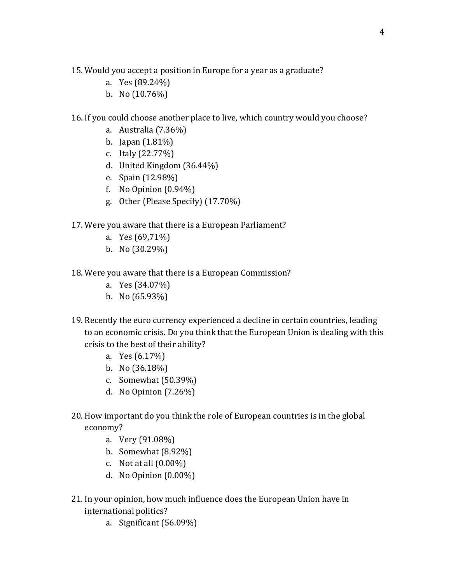15. Would you accept a position in Europe for a year as a graduate?

- a. Yes (89.24%)
- b. No  $(10.76\%)$

16. If you could choose another place to live, which country would you choose?

- a. Australia (7.36%)
- b. Japan (1.81%)
- c. Italy (22.77%)
- d. United Kingdom (36.44%)
- e. Spain (12.98%)
- f. No Opinion (0.94%)
- g. Other (Please Specify) (17.70%)

17. Were you aware that there is a European Parliament?

- a. Yes (69,71%)
- b. No (30.29%)
- 18. Were you aware that there is a European Commission?
	- a. Yes (34.07%)
	- b. No (65.93%)
- 19. Recently the euro currency experienced a decline in certain countries, leading to an economic crisis. Do you think that the European Union is dealing with this crisis to the best of their ability?
	- a. Yes (6.17%)
	- b. No (36.18%)
	- c. Somewhat (50.39%)
	- d. No Opinion (7.26%)
- 20. How important do you think the role of European countries is in the global economy?
	- a. Very (91.08%)
	- b. Somewhat (8.92%)
	- c. Not at all (0.00%)
	- d. No Opinion (0.00%)
- 21. In your opinion, how much influence does the European Union have in international politics?
	- a. Significant (56.09%)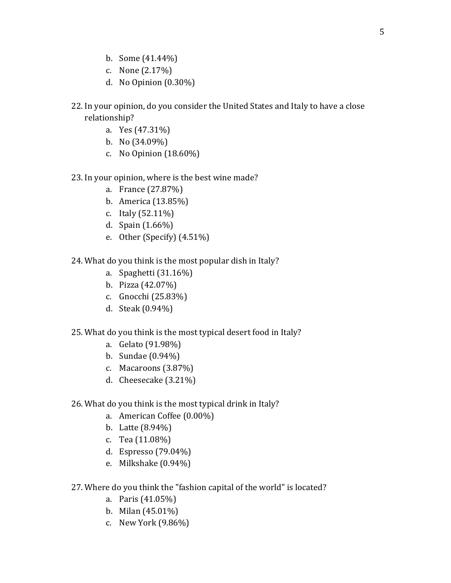- b. Some (41.44%)
- c. None (2.17%)
- d. No Opinion (0.30%)
- 22. In your opinion, do you consider the United States and Italy to have a close relationship?
	- a. Yes (47.31%)
	- b. No (34.09%)
	- c. No Opinion (18.60%)

#### 23. In your opinion, where is the best wine made?

- a. France (27.87%)
- b. America (13.85%)
- c. Italy (52.11%)
- d. Spain (1.66%)
- e. Other (Specify) (4.51%)
- 24. What do you think is the most popular dish in Italy?
	- a. Spaghetti (31.16%)
	- b. Pizza (42.07%)
	- c. Gnocchi (25.83%)
	- d. Steak (0.94%)

## 25. What do you think is the most typical desert food in Italy?

- a. Gelato (91.98%)
- b. Sundae (0.94%)
- c. Macaroons (3.87%)
- d. Cheesecake (3.21%)
- 26. What do you think is the most typical drink in Italy?
	- a. American Coffee (0.00%)
	- b. Latte (8.94%)
	- c. Tea (11.08%)
	- d. Espresso (79.04%)
	- e. Milkshake (0.94%)
- 27. Where do you think the "fashion capital of the world" is located?
	- a. Paris (41.05%)
	- b. Milan (45.01%)
	- c. New York (9.86%)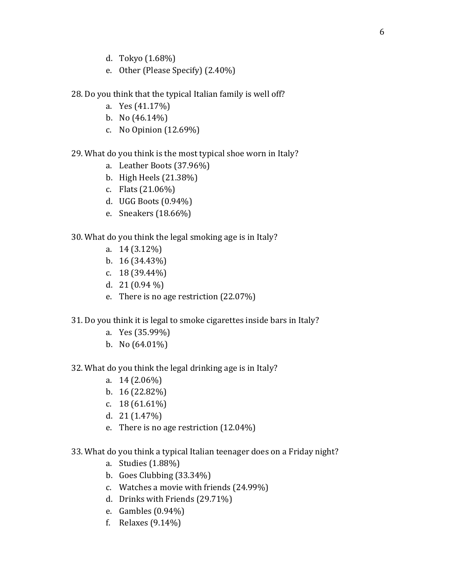- d. Tokyo (1.68%)
- e. Other (Please Specify) (2.40%)
- 28. Do you think that the typical Italian family is well off?
	- a. Yes (41.17%)
	- b. No  $(46.14\%)$
	- c. No Opinion (12.69%)

## 29. What do you think is the most typical shoe worn in Italy?

- a. Leather Boots (37.96%)
- b. High Heels (21.38%)
- c. Flats (21.06%)
- d. UGG Boots (0.94%)
- e. Sneakers (18.66%)

## 30. What do you think the legal smoking age is in Italy?

- a. 14 (3.12%)
- b. 16 (34.43%)
- c. 18 (39.44%)
- d.  $21(0.94\%)$
- e. There is no age restriction (22.07%)
- 31. Do you think it is legal to smoke cigarettes inside bars in Italy?
	- a. Yes (35.99%)
	- b. No  $(64.01\%)$

#### 32. What do you think the legal drinking age is in Italy?

- a. 14 (2.06%)
- b. 16 (22.82%)
- c. 18 (61.61%)
- d. 21 (1.47%)
- e. There is no age restriction (12.04%)
- 33. What do you think a typical Italian teenager does on a Friday night?
	- a. Studies (1.88%)
	- b. Goes Clubbing (33.34%)
	- c. Watches a movie with friends (24.99%)
	- d. Drinks with Friends (29.71%)
	- e. Gambles (0.94%)
	- f. Relaxes (9.14%)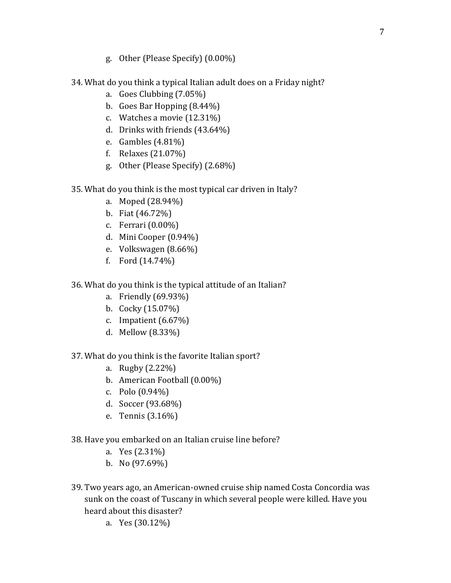- g. Other (Please Specify) (0.00%)
- 34. What do you think a typical Italian adult does on a Friday night?
	- a. Goes Clubbing (7.05%)
	- b. Goes Bar Hopping (8.44%)
	- c. Watches a movie (12.31%)
	- d. Drinks with friends (43.64%)
	- e. Gambles (4.81%)
	- f. Relaxes (21.07%)
	- g. Other (Please Specify) (2.68%)
- 35. What do you think is the most typical car driven in Italy?
	- a. Moped (28.94%)
	- b. Fiat (46.72%)
	- c. Ferrari (0.00%)
	- d. Mini Cooper (0.94%)
	- e. Volkswagen (8.66%)
	- f. Ford (14.74%)

36. What do you think is the typical attitude of an Italian?

- a. Friendly (69.93%)
- b. Cocky (15.07%)
- c. Impatient (6.67%)
- d. Mellow (8.33%)

37. What do you think is the favorite Italian sport?

- a. Rugby (2.22%)
- b. American Football (0.00%)
- c. Polo (0.94%)
- d. Soccer (93.68%)
- e. Tennis (3.16%)
- 38. Have you embarked on an Italian cruise line before?
	- a. Yes (2.31%)
	- b. No (97.69%)
- 39. Two years ago, an American-owned cruise ship named Costa Concordia was sunk on the coast of Tuscany in which several people were killed. Have you heard about this disaster?
	- a. Yes (30.12%)